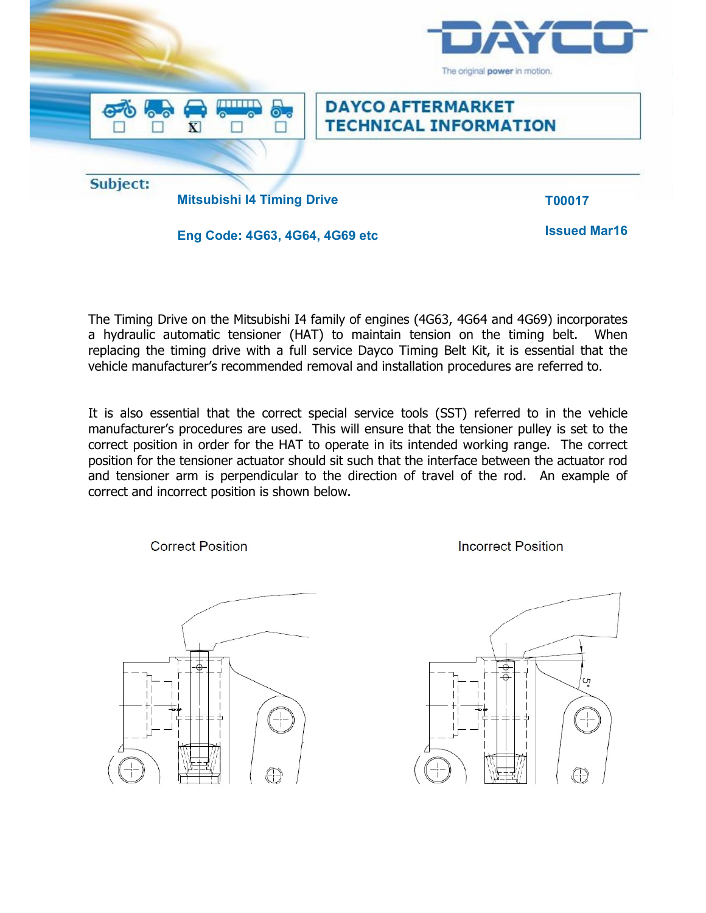

The Timing Drive on the Mitsubishi I4 family of engines (4G63, 4G64 and 4G69) incorporates a hydraulic automatic tensioner (HAT) to maintain tension on the timing belt. When replacing the timing drive with a full service Dayco Timing Belt Kit, it is essential that the vehicle manufacturer's recommended removal and installation procedures are referred to.

It is also essential that the correct special service tools (SST) referred to in the vehicle manufacturer's procedures are used. This will ensure that the tensioner pulley is set to the correct position in order for the HAT to operate in its intended working range. The correct position for the tensioner actuator should sit such that the interface between the actuator rod and tensioner arm is perpendicular to the direction of travel of the rod. An example of correct and incorrect position is shown below.

**Correct Position** 



**Incorrect Position**